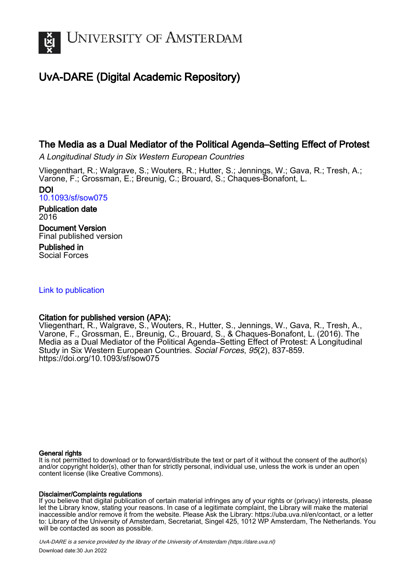

# UvA-DARE (Digital Academic Repository)

### The Media as a Dual Mediator of the Political Agenda–Setting Effect of Protest

A Longitudinal Study in Six Western European Countries

Vliegenthart, R.; Walgrave, S.; Wouters, R.; Hutter, S.; Jennings, W.; Gava, R.; Tresh, A.; Varone, F.; Grossman, E.; Breunig, C.; Brouard, S.; Chaques-Bonafont, L.

DOI [10.1093/sf/sow075](https://doi.org/10.1093/sf/sow075)

Publication date 2016

Document Version Final published version

Published in Social Forces

#### [Link to publication](https://dare.uva.nl/personal/pure/en/publications/the-media-as-a-dual-mediator-of-the-political-agendasetting-effect-of-protest(5b20403d-a3c2-42c4-abc6-bc719290c5a2).html)

#### Citation for published version (APA):

Vliegenthart, R., Walgrave, S., Wouters, R., Hutter, S., Jennings, W., Gava, R., Tresh, A., Varone, F., Grossman, E., Breunig, C., Brouard, S., & Chaques-Bonafont, L. (2016). The Media as a Dual Mediator of the Political Agenda–Setting Effect of Protest: A Longitudinal Study in Six Western European Countries. Social Forces, 95(2), 837-859. <https://doi.org/10.1093/sf/sow075>

#### General rights

It is not permitted to download or to forward/distribute the text or part of it without the consent of the author(s) and/or copyright holder(s), other than for strictly personal, individual use, unless the work is under an open content license (like Creative Commons).

#### Disclaimer/Complaints regulations

If you believe that digital publication of certain material infringes any of your rights or (privacy) interests, please let the Library know, stating your reasons. In case of a legitimate complaint, the Library will make the material inaccessible and/or remove it from the website. Please Ask the Library: https://uba.uva.nl/en/contact, or a letter to: Library of the University of Amsterdam, Secretariat, Singel 425, 1012 WP Amsterdam, The Netherlands. You will be contacted as soon as possible.

UvA-DARE is a service provided by the library of the University of Amsterdam (http*s*://dare.uva.nl) Download date:30 Jun 2022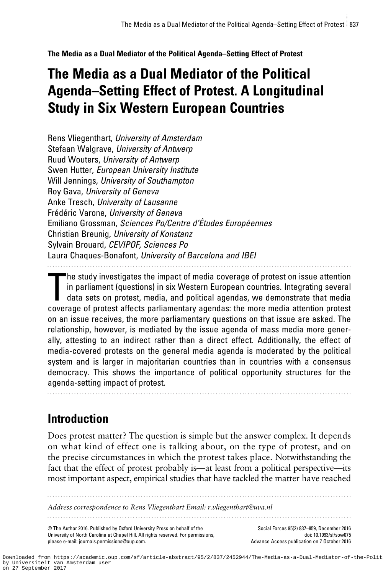The Media as a Dual Mediator of the Political Agenda–Setting Effect of Protest

# The Media as a Dual Mediator of the Political Agenda–Setting Effect of Protest. A Longitudinal Study in Six Western European Countries

Rens Vliegenthart, University of Amsterdam Stefaan Walgrave, University of Antwerp Ruud Wouters, University of Antwerp Swen Hutter, European University Institute Will Jennings, University of Southampton Roy Gava, University of Geneva Anke Tresch, University of Lausanne Frédéric Varone, University of Geneva Emiliano Grossman, Sciences Po/Centre d'Études Européennes Christian Breunig, University of Konstanz Sylvain Brouard, CEVIPOF, Sciences Po Laura Chaques-Bonafont, University of Barcelona and IBEI

The study investigates the impact of media coverage of protest on issue attention in parliament (questions) in six Western European countries. Integrating several data sets on protest, media, and political agendas, we demo he study investigates the impact of media coverage of protest on issue attention in parliament (questions) in six Western European countries. Integrating several data sets on protest, media, and political agendas, we demonstrate that media on an issue receives, the more parliamentary questions on that issue are asked. The relationship, however, is mediated by the issue agenda of mass media more generally, attesting to an indirect rather than a direct effect. Additionally, the effect of media-covered protests on the general media agenda is moderated by the political system and is larger in majoritarian countries than in countries with a consensus democracy. This shows the importance of political opportunity structures for the agenda-setting impact of protest.

..................................................................................................................

..................................................................................................................

Introduction

Does protest matter? The question is simple but the answer complex. It depends on what kind of effect one is talking about, on the type of protest, and on the precise circumstances in which the protest takes place. Notwithstanding the fact that the effect of protest probably is—at least from a political perspective—its most important aspect, empirical studies that have tackled the matter have reached

..................................................................................................................

..................................................................................................................

Address correspondence to Rens Vliegenthart Email: r.vliegenthart@uva.nl

© The Author 2016. Published by Oxford University Press on behalf of the University of North Carolina at Chapel Hill. All rights reserved. For permissions, please e-mail: journals.permissions@oup.com.

Social Forces 95(2) 837–859, December 2016 doi: 10.1093/sf/sow075 Advance Access publication on 7 October 2016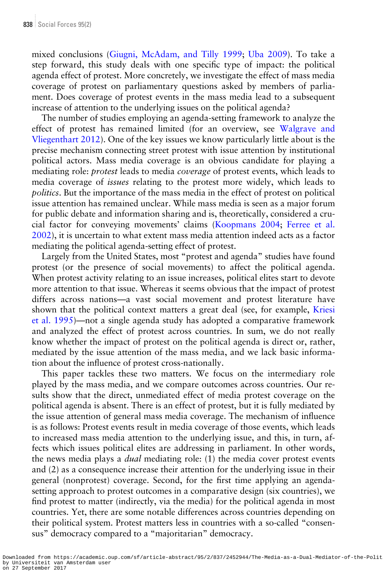mixed conclusions [\(Giugni, McAdam, and Tilly 1999](#page-21-0); [Uba 2009](#page-23-0)). To take a step forward, this study deals with one specific type of impact: the political agenda effect of protest. More concretely, we investigate the effect of mass media coverage of protest on parliamentary questions asked by members of parliament. Does coverage of protest events in the mass media lead to a subsequent increase of attention to the underlying issues on the political agenda?

The number of studies employing an agenda-setting framework to analyze the effect of protest has remained limited (for an overview, see [Walgrave and](#page-23-0) [Vliegenthart 2012](#page-23-0)). One of the key issues we know particularly little about is the precise mechanism connecting street protest with issue attention by institutional political actors. Mass media coverage is an obvious candidate for playing a mediating role: *protest* leads to media *coverage* of protest events, which leads to media coverage of issues relating to the protest more widely, which leads to politics. But the importance of the mass media in the effect of protest on political issue attention has remained unclear. While mass media is seen as a major forum for public debate and information sharing and is, theoretically, considered a crucial factor for conveying movements' claims [\(Koopmans 2004;](#page-21-0) [Ferree et al.](#page-21-0) [2002\)](#page-21-0), it is uncertain to what extent mass media attention indeed acts as a factor mediating the political agenda-setting effect of protest.

Largely from the United States, most "protest and agenda" studies have found protest (or the presence of social movements) to affect the political agenda. When protest activity relating to an issue increases, political elites start to devote more attention to that issue. Whereas it seems obvious that the impact of protest differs across nations—a vast social movement and protest literature have shown that the political context matters a great deal (see, for example, [Kriesi](#page-22-0) [et al. 1995\)](#page-22-0)—not a single agenda study has adopted a comparative framework and analyzed the effect of protest across countries. In sum, we do not really know whether the impact of protest on the political agenda is direct or, rather, mediated by the issue attention of the mass media, and we lack basic information about the influence of protest cross-nationally.

This paper tackles these two matters. We focus on the intermediary role played by the mass media, and we compare outcomes across countries. Our results show that the direct, unmediated effect of media protest coverage on the political agenda is absent. There is an effect of protest, but it is fully mediated by the issue attention of general mass media coverage. The mechanism of influence is as follows: Protest events result in media coverage of those events, which leads to increased mass media attention to the underlying issue, and this, in turn, affects which issues political elites are addressing in parliament. In other words, the news media plays a *dual* mediating role: (1) the media cover protest events and (2) as a consequence increase their attention for the underlying issue in their general (nonprotest) coverage. Second, for the first time applying an agendasetting approach to protest outcomes in a comparative design (six countries), we find protest to matter (indirectly, via the media) for the political agenda in most countries. Yet, there are some notable differences across countries depending on their political system. Protest matters less in countries with a so-called "consensus" democracy compared to a "majoritarian" democracy.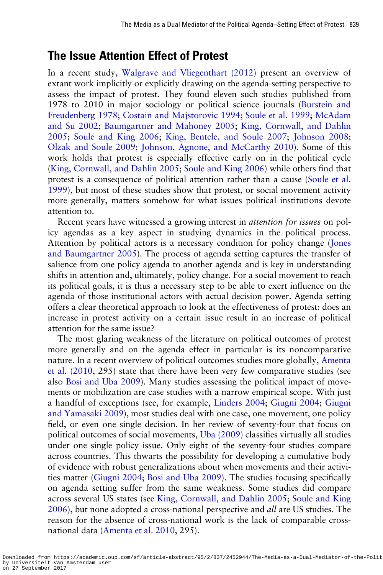#### The Issue Attention Effect of Protest

In a recent study, [Walgrave and Vliegenthart \(2012\)](#page-23-0) present an overview of extant work implicitly or explicitly drawing on the agenda-setting perspective to assess the impact of protest. They found eleven such studies published from 1978 to 2010 in major sociology or political science journals ([Burstein and](#page-20-0) [Freudenberg 1978;](#page-20-0) [Costain and Majstorovic 1994;](#page-20-0) [Soule et al. 1999;](#page-23-0) [McAdam](#page-22-0) [and Su 2002;](#page-22-0) [Baumgartner and Mahoney 2005](#page-20-0); [King, Cornwall, and Dahlin](#page-21-0) [2005;](#page-21-0) [Soule and King 2006](#page-23-0); [King, Bentele, and Soule 2007](#page-21-0); [Johnson 2008](#page-21-0); [Olzak and Soule 2009;](#page-22-0) [Johnson, Agnone, and McCarthy 2010](#page-21-0)). Some of this work holds that protest is especially effective early on in the political cycle [\(King, Cornwall, and Dahlin 2005](#page-21-0); [Soule and King 2006](#page-23-0)) while others find that protest is a consequence of political attention rather than a cause [\(Soule et al.](#page-23-0) [1999\)](#page-23-0), but most of these studies show that protest, or social movement activity more generally, matters somehow for what issues political institutions devote attention to.

Recent years have witnessed a growing interest in attention for issues on policy agendas as a key aspect in studying dynamics in the political process. Attention by political actors is a necessary condition for policy change ([Jones](#page-21-0) [and Baumgartner 2005](#page-21-0)). The process of agenda setting captures the transfer of salience from one policy agenda to another agenda and is key in understanding shifts in attention and, ultimately, policy change. For a social movement to reach its political goals, it is thus a necessary step to be able to exert influence on the agenda of those institutional actors with actual decision power. Agenda setting offers a clear theoretical approach to look at the effectiveness of protest: does an increase in protest activity on a certain issue result in an increase of political attention for the same issue?

The most glaring weakness of the literature on political outcomes of protest more generally and on the agenda effect in particular is its noncomparative nature. In a recent overview of political outcomes studies more globally, [Amenta](#page-20-0) [et al. \(2010](#page-20-0), 295) state that there have been very few comparative studies (see also [Bosi and Uba 2009](#page-20-0)). Many studies assessing the political impact of movements or mobilization are case studies with a narrow empirical scope. With just a handful of exceptions (see, for example, [Linders 2004;](#page-22-0) [Giugni 2004](#page-21-0); [Giugni](#page-21-0) [and Yamasaki 2009](#page-21-0)), most studies deal with one case, one movement, one policy field, or even one single decision. In her review of seventy-four that focus on political outcomes of social movements, [Uba \(2009\)](#page-23-0) classifies virtually all studies under one single policy issue. Only eight of the seventy-four studies compare across countries. This thwarts the possibility for developing a cumulative body of evidence with robust generalizations about when movements and their activities matter ([Giugni 2004](#page-21-0); [Bosi and Uba 2009\)](#page-20-0). The studies focusing specifically on agenda setting suffer from the same weakness. Some studies did compare across several US states (see [King, Cornwall, and Dahlin 2005;](#page-21-0) [Soule and King](#page-23-0) [2006\)](#page-23-0), but none adopted a cross-national perspective and *all* are US studies. The reason for the absence of cross-national work is the lack of comparable crossnational data [\(Amenta et al. 2010](#page-20-0), 295).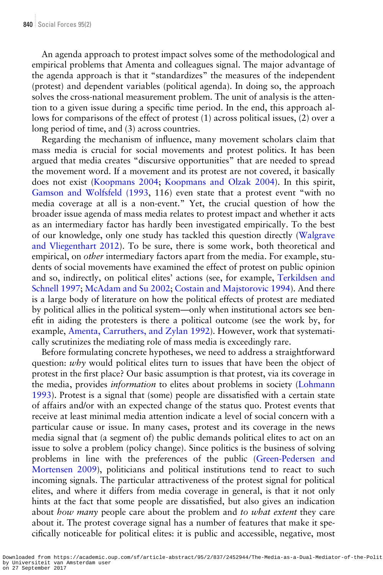An agenda approach to protest impact solves some of the methodological and empirical problems that Amenta and colleagues signal. The major advantage of the agenda approach is that it "standardizes" the measures of the independent (protest) and dependent variables (political agenda). In doing so, the approach solves the cross-national measurement problem. The unit of analysis is the attention to a given issue during a specific time period. In the end, this approach allows for comparisons of the effect of protest (1) across political issues, (2) over a long period of time, and (3) across countries.

Regarding the mechanism of influence, many movement scholars claim that mass media is crucial for social movements and protest politics. It has been argued that media creates "discursive opportunities" that are needed to spread the movement word. If a movement and its protest are not covered, it basically does not exist ([Koopmans 2004;](#page-21-0) [Koopmans and Olzak 2004\)](#page-21-0). In this spirit, [Gamson and Wolfsfeld \(1993](#page-21-0), 116) even state that a protest event "with no media coverage at all is a non-event." Yet, the crucial question of how the broader issue agenda of mass media relates to protest impact and whether it acts as an intermediary factor has hardly been investigated empirically. To the best of our knowledge, only one study has tackled this question directly ([Walgrave](#page-23-0) [and Vliegenthart 2012\)](#page-23-0). To be sure, there is some work, both theoretical and empirical, on *other* intermediary factors apart from the media. For example, students of social movements have examined the effect of protest on public opinion and so, indirectly, on political elites' actions (see, for example, [Terkildsen and](#page-23-0) [Schnell 1997;](#page-23-0) [McAdam and Su 2002](#page-22-0); [Costain and Majstorovic 1994](#page-20-0)). And there is a large body of literature on how the political effects of protest are mediated by political allies in the political system—only when institutional actors see benefit in aiding the protesters is there a political outcome (see the work by, for example, [Amenta, Carruthers, and Zylan 1992\)](#page-20-0). However, work that systematically scrutinizes the mediating role of mass media is exceedingly rare.

Before formulating concrete hypotheses, we need to address a straightforward question: why would political elites turn to issues that have been the object of protest in the first place? Our basic assumption is that protest, via its coverage in the media, provides *information* to elites about problems in society [\(Lohmann](#page-22-0) [1993\)](#page-22-0). Protest is a signal that (some) people are dissatisfied with a certain state of affairs and/or with an expected change of the status quo. Protest events that receive at least minimal media attention indicate a level of social concern with a particular cause or issue. In many cases, protest and its coverage in the news media signal that (a segment of) the public demands political elites to act on an issue to solve a problem (policy change). Since politics is the business of solving problems in line with the preferences of the public ([Green-Pedersen and](#page-21-0) [Mortensen 2009](#page-21-0)), politicians and political institutions tend to react to such incoming signals. The particular attractiveness of the protest signal for political elites, and where it differs from media coverage in general, is that it not only hints at the fact that some people are dissatisfied, but also gives an indication about how many people care about the problem and to what extent they care about it. The protest coverage signal has a number of features that make it specifically noticeable for political elites: it is public and accessible, negative, most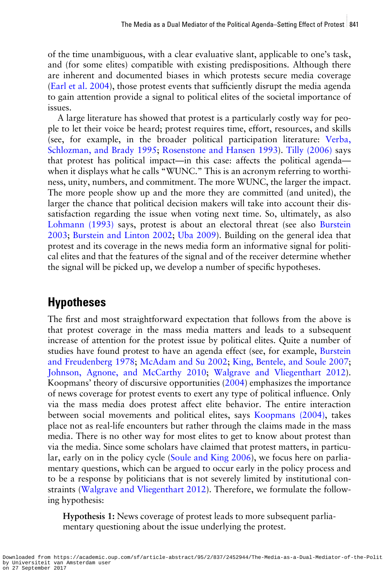of the time unambiguous, with a clear evaluative slant, applicable to one's task, and (for some elites) compatible with existing predispositions. Although there are inherent and documented biases in which protests secure media coverage [\(Earl et al. 2004](#page-21-0)), those protest events that sufficiently disrupt the media agenda to gain attention provide a signal to political elites of the societal importance of issues.

A large literature has showed that protest is a particularly costly way for people to let their voice be heard; protest requires time, effort, resources, and skills (see, for example, in the broader political participation literature: [Verba,](#page-23-0) [Schlozman, and Brady 1995;](#page-23-0) [Rosenstone and Hansen 1993](#page-22-0)). [Tilly \(2006\)](#page-23-0) says that protest has political impact—in this case: affects the political agenda when it displays what he calls "WUNC." This is an acronym referring to worthiness, unity, numbers, and commitment. The more WUNC, the larger the impact. The more people show up and the more they are committed (and united), the larger the chance that political decision makers will take into account their dissatisfaction regarding the issue when voting next time. So, ultimately, as also [Lohmann \(1993\)](#page-22-0) says, protest is about an electoral threat (see also [Burstein](#page-20-0) [2003;](#page-20-0) [Burstein and Linton 2002](#page-20-0); [Uba 2009\)](#page-23-0). Building on the general idea that protest and its coverage in the news media form an informative signal for political elites and that the features of the signal and of the receiver determine whether the signal will be picked up, we develop a number of specific hypotheses.

#### Hypotheses

The first and most straightforward expectation that follows from the above is that protest coverage in the mass media matters and leads to a subsequent increase of attention for the protest issue by political elites. Quite a number of studies have found protest to have an agenda effect (see, for example, [Burstein](#page-20-0) [and Freudenberg 1978;](#page-20-0) [McAdam and Su 2002;](#page-22-0) [King, Bentele, and Soule 2007](#page-21-0); [Johnson, Agnone, and McCarthy 2010;](#page-21-0) [Walgrave and Vliegenthart 2012\)](#page-23-0). Koopmans' theory of discursive opportunities ([2004\)](#page-21-0) emphasizes the importance of news coverage for protest events to exert any type of political influence. Only via the mass media does protest affect elite behavior. The entire interaction between social movements and political elites, says [Koopmans \(2004\)](#page-21-0), takes place not as real-life encounters but rather through the claims made in the mass media. There is no other way for most elites to get to know about protest than via the media. Since some scholars have claimed that protest matters, in particular, early on in the policy cycle [\(Soule and King 2006](#page-23-0)), we focus here on parliamentary questions, which can be argued to occur early in the policy process and to be a response by politicians that is not severely limited by institutional constraints [\(Walgrave and Vliegenthart 2012\)](#page-23-0). Therefore, we formulate the following hypothesis:

Hypothesis 1: News coverage of protest leads to more subsequent parliamentary questioning about the issue underlying the protest.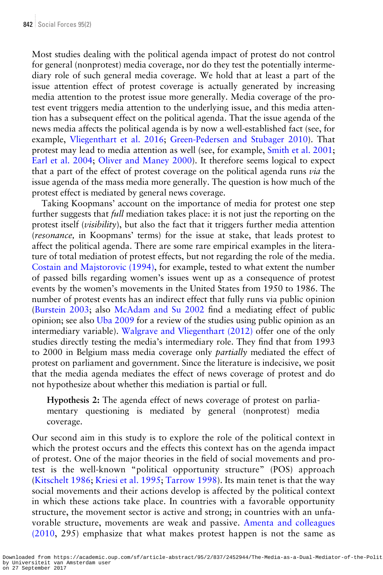Most studies dealing with the political agenda impact of protest do not control for general (nonprotest) media coverage, nor do they test the potentially intermediary role of such general media coverage. We hold that at least a part of the issue attention effect of protest coverage is actually generated by increasing media attention to the protest issue more generally. Media coverage of the protest event triggers media attention to the underlying issue, and this media attention has a subsequent effect on the political agenda. That the issue agenda of the news media affects the political agenda is by now a well-established fact (see, for example, [Vliegenthart et al. 2016;](#page-23-0) [Green-Pedersen and Stubager 2010](#page-21-0)). That protest may lead to media attention as well (see, for example, [Smith et al. 2001](#page-22-0); [Earl et al. 2004](#page-21-0); [Oliver and Maney 2000\)](#page-22-0). It therefore seems logical to expect that a part of the effect of protest coverage on the political agenda runs via the issue agenda of the mass media more generally. The question is how much of the protest effect is mediated by general news coverage.

Taking Koopmans' account on the importance of media for protest one step further suggests that *full* mediation takes place: it is not just the reporting on the protest itself (visibility), but also the fact that it triggers further media attention (resonance, in Koopmans' terms) for the issue at stake, that leads protest to affect the political agenda. There are some rare empirical examples in the literature of total mediation of protest effects, but not regarding the role of the media. [Costain and Majstorovic \(1994\),](#page-20-0) for example, tested to what extent the number of passed bills regarding women's issues went up as a consequence of protest events by the women's movements in the United States from 1950 to 1986. The number of protest events has an indirect effect that fully runs via public opinion [\(Burstein 2003;](#page-20-0) also [McAdam and Su 2002](#page-22-0) find a mediating effect of public opinion; see also [Uba 2009](#page-23-0) for a review of the studies using public opinion as an intermediary variable). [Walgrave and Vliegenthart \(2012\)](#page-23-0) offer one of the only studies directly testing the media's intermediary role. They find that from 1993 to 2000 in Belgium mass media coverage only partially mediated the effect of protest on parliament and government. Since the literature is indecisive, we posit that the media agenda mediates the effect of news coverage of protest and do not hypothesize about whether this mediation is partial or full.

Hypothesis 2: The agenda effect of news coverage of protest on parliamentary questioning is mediated by general (nonprotest) media coverage.

Our second aim in this study is to explore the role of the political context in which the protest occurs and the effects this context has on the agenda impact of protest. One of the major theories in the field of social movements and protest is the well-known "political opportunity structure" (POS) approach [\(Kitschelt 1986](#page-21-0); [Kriesi et al. 1995](#page-22-0); [Tarrow 1998\)](#page-23-0). Its main tenet is that the way social movements and their actions develop is affected by the political context in which these actions take place. In countries with a favorable opportunity structure, the movement sector is active and strong; in countries with an unfavorable structure, movements are weak and passive. [Amenta and colleagues](#page-20-0) [\(2010,](#page-20-0) 295) emphasize that what makes protest happen is not the same as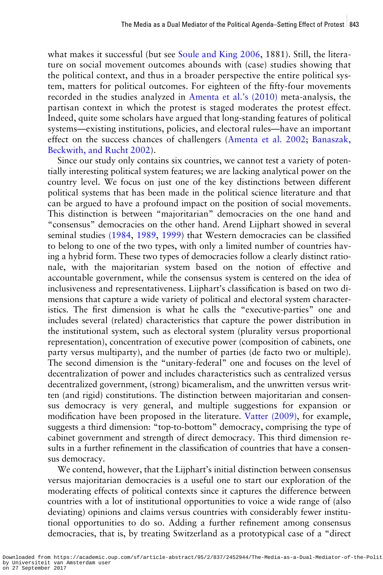what makes it successful (but see [Soule and King 2006](#page-23-0), 1881). Still, the literature on social movement outcomes abounds with (case) studies showing that the political context, and thus in a broader perspective the entire political system, matters for political outcomes. For eighteen of the fifty-four movements recorded in the studies analyzed in [Amenta et al.](#page-20-0)'s (2010) meta-analysis, the partisan context in which the protest is staged moderates the protest effect. Indeed, quite some scholars have argued that long-standing features of political systems—existing institutions, policies, and electoral rules—have an important effect on the success chances of challengers ([Amenta et al. 2002;](#page-20-0) [Banaszak,](#page-20-0) [Beckwith, and Rucht 2002\)](#page-20-0).

Since our study only contains six countries, we cannot test a variety of potentially interesting political system features; we are lacking analytical power on the country level. We focus on just one of the key distinctions between different political systems that has been made in the political science literature and that can be argued to have a profound impact on the position of social movements. This distinction is between "majoritarian" democracies on the one hand and "consensus" democracies on the other hand. Arend Lijphart showed in several seminal studies [\(1984,](#page-22-0) [1989](#page-22-0), [1999](#page-22-0)) that Western democracies can be classified to belong to one of the two types, with only a limited number of countries having a hybrid form. These two types of democracies follow a clearly distinct rationale, with the majoritarian system based on the notion of effective and accountable government, while the consensus system is centered on the idea of inclusiveness and representativeness. Lijphart's classification is based on two dimensions that capture a wide variety of political and electoral system characteristics. The first dimension is what he calls the "executive-parties" one and includes several (related) characteristics that capture the power distribution in the institutional system, such as electoral system (plurality versus proportional representation), concentration of executive power (composition of cabinets, one party versus multiparty), and the number of parties (de facto two or multiple). The second dimension is the "unitary-federal" one and focuses on the level of decentralization of power and includes characteristics such as centralized versus decentralized government, (strong) bicameralism, and the unwritten versus written (and rigid) constitutions. The distinction between majoritarian and consensus democracy is very general, and multiple suggestions for expansion or modification have been proposed in the literature. [Vatter \(2009\),](#page-23-0) for example, suggests a third dimension: "top-to-bottom" democracy, comprising the type of cabinet government and strength of direct democracy. This third dimension results in a further refinement in the classification of countries that have a consensus democracy.

We contend, however, that the Lijphart's initial distinction between consensus versus majoritarian democracies is a useful one to start our exploration of the moderating effects of political contexts since it captures the difference between countries with a lot of institutional opportunities to voice a wide range of (also deviating) opinions and claims versus countries with considerably fewer institutional opportunities to do so. Adding a further refinement among consensus democracies, that is, by treating Switzerland as a prototypical case of a "direct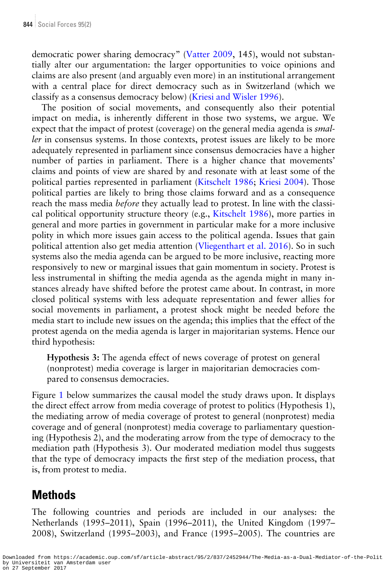democratic power sharing democracy" ([Vatter 2009](#page-23-0), 145), would not substantially alter our argumentation: the larger opportunities to voice opinions and claims are also present (and arguably even more) in an institutional arrangement with a central place for direct democracy such as in Switzerland (which we classify as a consensus democracy below) ([Kriesi and Wisler 1996](#page-22-0)).

The position of social movements, and consequently also their potential impact on media, is inherently different in those two systems, we argue. We expect that the impact of protest (coverage) on the general media agenda is smaller in consensus systems. In those contexts, protest issues are likely to be more adequately represented in parliament since consensus democracies have a higher number of parties in parliament. There is a higher chance that movements' claims and points of view are shared by and resonate with at least some of the political parties represented in parliament [\(Kitschelt 1986;](#page-21-0) [Kriesi 2004\)](#page-22-0). Those political parties are likely to bring those claims forward and as a consequence reach the mass media *before* they actually lead to protest. In line with the classical political opportunity structure theory (e.g., [Kitschelt 1986\)](#page-21-0), more parties in general and more parties in government in particular make for a more inclusive polity in which more issues gain access to the political agenda. Issues that gain political attention also get media attention [\(Vliegenthart et al. 2016](#page-23-0)). So in such systems also the media agenda can be argued to be more inclusive, reacting more responsively to new or marginal issues that gain momentum in society. Protest is less instrumental in shifting the media agenda as the agenda might in many instances already have shifted before the protest came about. In contrast, in more closed political systems with less adequate representation and fewer allies for social movements in parliament, a protest shock might be needed before the media start to include new issues on the agenda; this implies that the effect of the protest agenda on the media agenda is larger in majoritarian systems. Hence our third hypothesis:

Hypothesis 3: The agenda effect of news coverage of protest on general (nonprotest) media coverage is larger in majoritarian democracies compared to consensus democracies.

Figure [1](#page-9-0) below summarizes the causal model the study draws upon. It displays the direct effect arrow from media coverage of protest to politics (Hypothesis 1), the mediating arrow of media coverage of protest to general (nonprotest) media coverage and of general (nonprotest) media coverage to parliamentary questioning (Hypothesis 2), and the moderating arrow from the type of democracy to the mediation path (Hypothesis 3). Our moderated mediation model thus suggests that the type of democracy impacts the first step of the mediation process, that is, from protest to media.

### **Methods**

The following countries and periods are included in our analyses: the Netherlands (1995–2011), Spain (1996–2011), the United Kingdom (1997– 2008), Switzerland (1995–2003), and France (1995–2005). The countries are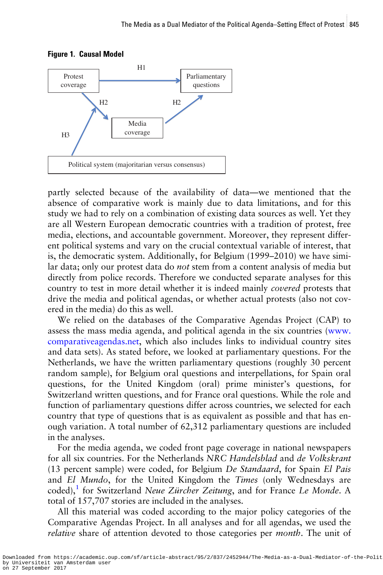

<span id="page-9-0"></span>Figure 1. Causal Model

partly selected because of the availability of data—we mentioned that the absence of comparative work is mainly due to data limitations, and for this study we had to rely on a combination of existing data sources as well. Yet they are all Western European democratic countries with a tradition of protest, free media, elections, and accountable government. Moreover, they represent different political systems and vary on the crucial contextual variable of interest, that is, the democratic system. Additionally, for Belgium (1999–2010) we have similar data; only our protest data do not stem from a content analysis of media but directly from police records. Therefore we conducted separate analyses for this country to test in more detail whether it is indeed mainly covered protests that drive the media and political agendas, or whether actual protests (also not covered in the media) do this as well.

We relied on the databases of the Comparative Agendas Project (CAP) to assess the mass media agenda, and political agenda in the six countries ([www.](http://www.comparativeagendas.net) [comparativeagendas.net,](http://www.comparativeagendas.net) which also includes links to individual country sites and data sets). As stated before, we looked at parliamentary questions. For the Netherlands, we have the written parliamentary questions (roughly 30 percent random sample), for Belgium oral questions and interpellations, for Spain oral questions, for the United Kingdom (oral) prime minister's questions, for Switzerland written questions, and for France oral questions. While the role and function of parliamentary questions differ across countries, we selected for each country that type of questions that is as equivalent as possible and that has enough variation. A total number of 62,312 parliamentary questions are included in the analyses.

For the media agenda, we coded front page coverage in national newspapers for all six countries. For the Netherlands NRC Handelsblad and de Volkskrant (13 percent sample) were coded, for Belgium De Standaard, for Spain El Pais and El Mundo, for the United Kingdom the Times (only Wednesdays are coded),<sup>1</sup> for Switzerland Neue Zürcher Zeitung, and for France Le Monde. A total of 157,707 stories are included in the analyses.

All this material was coded according to the major policy categories of the Comparative Agendas Project. In all analyses and for all agendas, we used the relative share of attention devoted to those categories per *month*. The unit of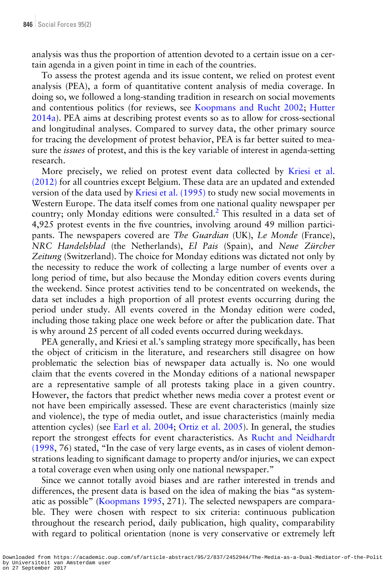analysis was thus the proportion of attention devoted to a certain issue on a certain agenda in a given point in time in each of the countries.

To assess the protest agenda and its issue content, we relied on protest event analysis (PEA), a form of quantitative content analysis of media coverage. In doing so, we followed a long-standing tradition in research on social movements and contentious politics (for reviews, see [Koopmans and Rucht 2002](#page-22-0); [Hutter](#page-21-0) [2014a\)](#page-21-0). PEA aims at describing protest events so as to allow for cross-sectional and longitudinal analyses. Compared to survey data, the other primary source for tracing the development of protest behavior, PEA is far better suited to measure the *issues* of protest, and this is the key variable of interest in agenda-setting research.

More precisely, we relied on protest event data collected by [Kriesi et al.](#page-22-0) [\(2012\)](#page-22-0) for all countries except Belgium. These data are an updated and extended version of the data used by [Kriesi et al. \(1995\)](#page-22-0) to study new social movements in Western Europe. The data itself comes from one national quality newspaper per country; only Monday editions were consulted.<sup>2</sup> This resulted in a data set of 4,925 protest events in the five countries, involving around 49 million participants. The newspapers covered are The Guardian (UK), Le Monde (France), NRC Handelsblad (the Netherlands), El Pais (Spain), and Neue Zürcher Zeitung (Switzerland). The choice for Monday editions was dictated not only by the necessity to reduce the work of collecting a large number of events over a long period of time, but also because the Monday edition covers events during the weekend. Since protest activities tend to be concentrated on weekends, the data set includes a high proportion of all protest events occurring during the period under study. All events covered in the Monday edition were coded, including those taking place one week before or after the publication date. That is why around 25 percent of all coded events occurred during weekdays.

PEA generally, and Kriesi et al.'s sampling strategy more specifically, has been the object of criticism in the literature, and researchers still disagree on how problematic the selection bias of newspaper data actually is. No one would claim that the events covered in the Monday editions of a national newspaper are a representative sample of all protests taking place in a given country. However, the factors that predict whether news media cover a protest event or not have been empirically assessed. These are event characteristics (mainly size and violence), the type of media outlet, and issue characteristics (mainly media attention cycles) (see [Earl et al. 2004;](#page-21-0) [Ortiz et al. 2005](#page-22-0)). In general, the studies report the strongest effects for event characteristics. As [Rucht and Neidhardt](#page-22-0) [\(1998](#page-22-0), 76) stated, "In the case of very large events, as in cases of violent demonstrations leading to significant damage to property and/or injuries, we can expect a total coverage even when using only one national newspaper."

Since we cannot totally avoid biases and are rather interested in trends and differences, the present data is based on the idea of making the bias "as systematic as possible" [\(Koopmans 1995,](#page-21-0) 271). The selected newspapers are comparable. They were chosen with respect to six criteria: continuous publication throughout the research period, daily publication, high quality, comparability with regard to political orientation (none is very conservative or extremely left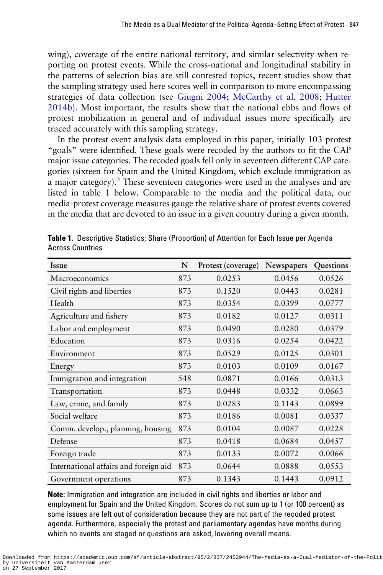<span id="page-11-0"></span>wing), coverage of the entire national territory, and similar selectivity when reporting on protest events. While the cross-national and longitudinal stability in the patterns of selection bias are still contested topics, recent studies show that the sampling strategy used here scores well in comparison to more encompassing strategies of data collection (see [Giugni 2004;](#page-21-0) [McCarthy et al. 2008](#page-22-0); [Hutter](#page-21-0) [2014b](#page-21-0)). Most important, the results show that the national ebbs and flows of protest mobilization in general and of individual issues more specifically are traced accurately with this sampling strategy.

In the protest event analysis data employed in this paper, initially 103 protest "goals" were identified. These goals were recoded by the authors to fit the CAP major issue categories. The recoded goals fell only in seventeen different CAP categories (sixteen for Spain and the United Kingdom, which exclude immigration as a major category).3 These seventeen categories were used in the analyses and are listed in table 1 below. Comparable to the media and the political data, our media-protest coverage measures gauge the relative share of protest events covered in the media that are devoted to an issue in a given country during a given month.

| <b>Issue</b>                          | N   | Protest (coverage) | Newspapers | Questions |
|---------------------------------------|-----|--------------------|------------|-----------|
| Macroeconomics                        | 873 | 0.0253             | 0.0456     | 0.0526    |
| Civil rights and liberties            | 873 | 0.1520             | 0.0443     | 0.0281    |
| Health                                | 873 | 0.0354             | 0.0399     | 0.0777    |
| Agriculture and fishery               | 873 | 0.0182             | 0.0127     | 0.0311    |
| Labor and employment                  | 873 | 0.0490             | 0.0280     | 0.0379    |
| Education                             | 873 | 0.0316             | 0.0254     | 0.0422    |
| Environment                           | 873 | 0.0529             | 0.0125     | 0.0301    |
| Energy                                | 873 | 0.0103             | 0.0109     | 0.0167    |
| Immigration and integration           | 548 | 0.0871             | 0.0166     | 0.0313    |
| Transportation                        | 873 | 0.0448             | 0.0332     | 0.0663    |
| Law, crime, and family                | 873 | 0.0283             | 0.1143     | 0.0899    |
| Social welfare                        | 873 | 0.0186             | 0.0081     | 0.0337    |
| Comm. develop., planning, housing     | 873 | 0.0104             | 0.0087     | 0.0228    |
| Defense                               | 873 | 0.0418             | 0.0684     | 0.0457    |
| Foreign trade                         | 873 | 0.0133             | 0.0072     | 0.0066    |
| International affairs and foreign aid | 873 | 0.0644             | 0.0888     | 0.0553    |
| Government operations                 | 873 | 0.1343             | 0.1443     | 0.0912    |

Table 1. Descriptive Statistics; Share (Proportion) of Attention for Each Issue per Agenda Across Countries

Note: Immigration and integration are included in civil rights and liberties or labor and employment for Spain and the United Kingdom. Scores do not sum up to 1 (or 100 percent) as some issues are left out of consideration because they are not part of the recoded protest agenda. Furthermore, especially the protest and parliamentary agendas have months during which no events are staged or questions are asked, lowering overall means.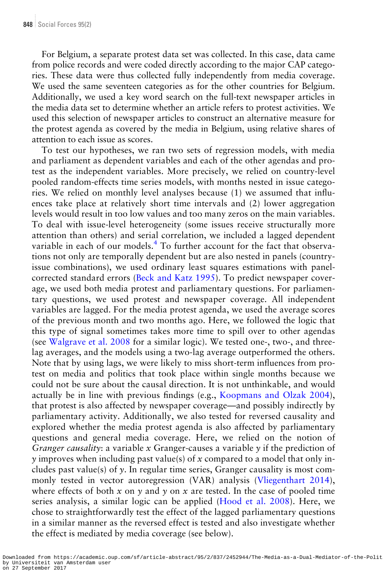For Belgium, a separate protest data set was collected. In this case, data came from police records and were coded directly according to the major CAP categories. These data were thus collected fully independently from media coverage. We used the same seventeen categories as for the other countries for Belgium. Additionally, we used a key word search on the full-text newspaper articles in the media data set to determine whether an article refers to protest activities. We used this selection of newspaper articles to construct an alternative measure for the protest agenda as covered by the media in Belgium, using relative shares of attention to each issue as scores.

To test our hypotheses, we ran two sets of regression models, with media and parliament as dependent variables and each of the other agendas and protest as the independent variables. More precisely, we relied on country-level pooled random-effects time series models, with months nested in issue categories. We relied on monthly level analyses because (1) we assumed that influences take place at relatively short time intervals and (2) lower aggregation levels would result in too low values and too many zeros on the main variables. To deal with issue-level heterogeneity (some issues receive structurally more attention than others) and serial correlation, we included a lagged dependent variable in each of our models.<sup>4</sup> To further account for the fact that observations not only are temporally dependent but are also nested in panels (countryissue combinations), we used ordinary least squares estimations with panelcorrected standard errors [\(Beck and Katz 1995\)](#page-21-0). To predict newspaper coverage, we used both media protest and parliamentary questions. For parliamentary questions, we used protest and newspaper coverage. All independent variables are lagged. For the media protest agenda, we used the average scores of the previous month and two months ago. Here, we followed the logic that this type of signal sometimes takes more time to spill over to other agendas (see [Walgrave et al. 2008](#page-23-0) for a similar logic). We tested one-, two-, and threelag averages, and the models using a two-lag average outperformed the others. Note that by using lags, we were likely to miss short-term influences from protest on media and politics that took place within single months because we could not be sure about the causal direction. It is not unthinkable, and would actually be in line with previous findings (e.g., [Koopmans and Olzak 2004\)](#page-21-0), that protest is also affected by newspaper coverage—and possibly indirectly by parliamentary activity. Additionally, we also tested for reversed causality and explored whether the media protest agenda is also affected by parliamentary questions and general media coverage. Here, we relied on the notion of Granger causality: a variable x Granger-causes a variable  $\gamma$  if the prediction of  $\gamma$  improves when including past value(s) of x compared to a model that only includes past value(s) of y. In regular time series, Granger causality is most commonly tested in vector autoregression (VAR) analysis [\(Vliegenthart 2014\)](#page-23-0), where effects of both x on y and y on x are tested. In the case of pooled time series analysis, a similar logic can be applied ([Hood et al. 2008\)](#page-21-0). Here, we chose to straightforwardly test the effect of the lagged parliamentary questions in a similar manner as the reversed effect is tested and also investigate whether the effect is mediated by media coverage (see below).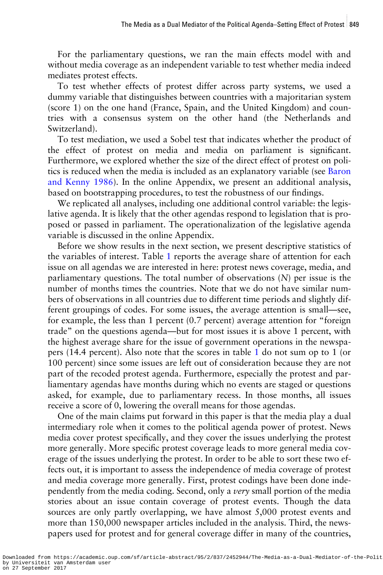For the parliamentary questions, we ran the main effects model with and without media coverage as an independent variable to test whether media indeed mediates protest effects.

To test whether effects of protest differ across party systems, we used a dummy variable that distinguishes between countries with a majoritarian system (score 1) on the one hand (France, Spain, and the United Kingdom) and countries with a consensus system on the other hand (the Netherlands and Switzerland).

To test mediation, we used a Sobel test that indicates whether the product of the effect of protest on media and media on parliament is significant. Furthermore, we explored whether the size of the direct effect of protest on politics is reduced when the media is included as an explanatory variable (see [Baron](#page-20-0) [and Kenny 1986\)](#page-20-0). In the [online Appendix,](http://SOCFOR.oxfordjournals.org/lookup/suppl/doi:10.1093/sf/sow075/-/DC1) we present an additional analysis, based on bootstrapping procedures, to test the robustness of our findings.

We replicated all analyses, including one additional control variable: the legislative agenda. It is likely that the other agendas respond to legislation that is proposed or passed in parliament. The operationalization of the legislative agenda variable is discussed in the [online Appendix.](http://SOCFOR.oxfordjournals.org/lookup/suppl/doi:10.1093/sf/sow075/-/DC1)

Before we show results in the next section, we present descriptive statistics of the variables of interest. Table [1](#page-11-0) reports the average share of attention for each issue on all agendas we are interested in here: protest news coverage, media, and parliamentary questions. The total number of observations (N) per issue is the number of months times the countries. Note that we do not have similar numbers of observations in all countries due to different time periods and slightly different groupings of codes. For some issues, the average attention is small—see, for example, the less than 1 percent (0.7 percent) average attention for "foreign trade" on the questions agenda—but for most issues it is above 1 percent, with the highest average share for the issue of government operations in the newspapers (14.4 percent). Also note that the scores in table [1](#page-11-0) do not sum op to 1 (or 100 percent) since some issues are left out of consideration because they are not part of the recoded protest agenda. Furthermore, especially the protest and parliamentary agendas have months during which no events are staged or questions asked, for example, due to parliamentary recess. In those months, all issues receive a score of 0, lowering the overall means for those agendas.

One of the main claims put forward in this paper is that the media play a dual intermediary role when it comes to the political agenda power of protest. News media cover protest specifically, and they cover the issues underlying the protest more generally. More specific protest coverage leads to more general media coverage of the issues underlying the protest. In order to be able to sort these two effects out, it is important to assess the independence of media coverage of protest and media coverage more generally. First, protest codings have been done independently from the media coding. Second, only a *very* small portion of the media stories about an issue contain coverage of protest events. Though the data sources are only partly overlapping, we have almost 5,000 protest events and more than 150,000 newspaper articles included in the analysis. Third, the newspapers used for protest and for general coverage differ in many of the countries,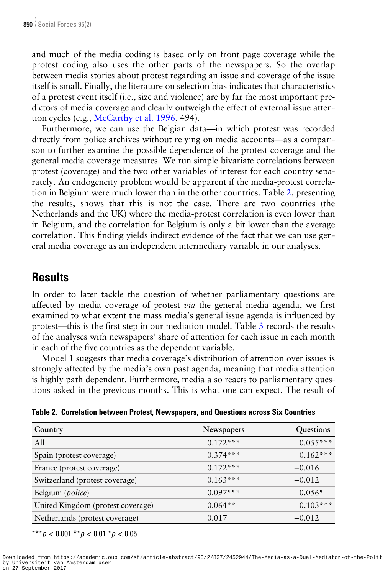and much of the media coding is based only on front page coverage while the protest coding also uses the other parts of the newspapers. So the overlap between media stories about protest regarding an issue and coverage of the issue itself is small. Finally, the literature on selection bias indicates that characteristics of a protest event itself (i.e., size and violence) are by far the most important predictors of media coverage and clearly outweigh the effect of external issue attention cycles (e.g., [McCarthy et al. 1996,](#page-22-0) 494).

Furthermore, we can use the Belgian data—in which protest was recorded directly from police archives without relying on media accounts—as a comparison to further examine the possible dependence of the protest coverage and the general media coverage measures. We run simple bivariate correlations between protest (coverage) and the two other variables of interest for each country separately. An endogeneity problem would be apparent if the media-protest correlation in Belgium were much lower than in the other countries. Table 2, presenting the results, shows that this is not the case. There are two countries (the Netherlands and the UK) where the media-protest correlation is even lower than in Belgium, and the correlation for Belgium is only a bit lower than the average correlation. This finding yields indirect evidence of the fact that we can use general media coverage as an independent intermediary variable in our analyses.

#### **Results**

In order to later tackle the question of whether parliamentary questions are affected by media coverage of protest *via* the general media agenda, we first examined to what extent the mass media's general issue agenda is influenced by protest—this is the first step in our mediation model. Table [3](#page-15-0) records the results of the analyses with newspapers' share of attention for each issue in each month in each of the five countries as the dependent variable.

Model 1 suggests that media coverage's distribution of attention over issues is strongly affected by the media's own past agenda, meaning that media attention is highly path dependent. Furthermore, media also reacts to parliamentary questions asked in the previous months. This is what one can expect. The result of

| Country                           | Newspapers | Questions  |
|-----------------------------------|------------|------------|
| A11                               | $0.172***$ | $0.055***$ |
| Spain (protest coverage)          | $0.374***$ | $0.162***$ |
| France (protest coverage)         | $0.172***$ | $-0.016$   |
| Switzerland (protest coverage)    | $0.163***$ | $-0.012$   |
| Belgium (police)                  | $0.097***$ | $0.056*$   |
| United Kingdom (protest coverage) | $0.064**$  | $0.103***$ |
| Netherlands (protest coverage)    | 0.017      | $-0.012$   |

Table 2. Correlation between Protest, Newspapers, and Questions across Six Countries

\*\*\* $p < 0.001$  \*\* $p < 0.01$  \* $p < 0.05$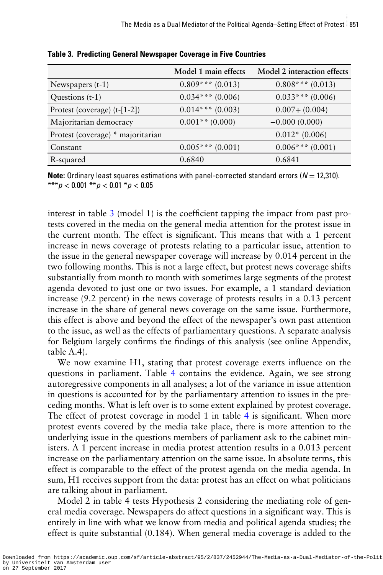|                                   | Model 1 main effects  | Model 2 interaction effects |
|-----------------------------------|-----------------------|-----------------------------|
| Newspapers (t-1)                  | $0.809***(0.013)$     | $0.808***(0.013)$           |
| Questions (t-1)                   | $0.034***(0.006)$     | $0.033***(0.006)$           |
| Protest (coverage) $(t-[1-2])$    | $0.014$ *** $(0.003)$ | $0.007 + (0.004)$           |
| Majoritarian democracy            | $0.001**$ (0.000)     | $-0.000(0.000)$             |
| Protest (coverage) * majoritarian |                       | $0.012*(0.006)$             |
| Constant                          | $0.005$ *** (0.001)   | $0.006$ *** $(0.001)$       |
| R-squared                         | 0.6840                | 0.6841                      |

<span id="page-15-0"></span>Table 3. Predicting General Newspaper Coverage in Five Countries

**Note:** Ordinary least squares estimations with panel-corrected standard errors ( $N = 12,310$ ). \*\*\* $p < 0.001$  \*\* $p < 0.01$  \* $p < 0.05$ 

interest in table  $3 \pmod{1}$  is the coefficient tapping the impact from past protests covered in the media on the general media attention for the protest issue in the current month. The effect is significant. This means that with a 1 percent increase in news coverage of protests relating to a particular issue, attention to the issue in the general newspaper coverage will increase by 0.014 percent in the two following months. This is not a large effect, but protest news coverage shifts substantially from month to month with sometimes large segments of the protest agenda devoted to just one or two issues. For example, a 1 standard deviation increase (9.2 percent) in the news coverage of protests results in a 0.13 percent increase in the share of general news coverage on the same issue. Furthermore, this effect is above and beyond the effect of the newspaper's own past attention to the issue, as well as the effects of parliamentary questions. A separate analysis for Belgium largely confirms the findings of this analysis (see [online Appendix,](http://SOCFOR.oxfordjournals.org/lookup/suppl/doi:10.1093/sf/sow075/-/DC1) [table A.4\)](http://SOCFOR.oxfordjournals.org/lookup/suppl/doi:10.1093/sf/sow075/-/DC1).

We now examine H1, stating that protest coverage exerts influence on the questions in parliament. Table [4](#page-16-0) contains the evidence. Again, we see strong autoregressive components in all analyses; a lot of the variance in issue attention in questions is accounted for by the parliamentary attention to issues in the preceding months. What is left over is to some extent explained by protest coverage. The effect of protest coverage in model 1 in table [4](#page-16-0) is significant. When more protest events covered by the media take place, there is more attention to the underlying issue in the questions members of parliament ask to the cabinet ministers. A 1 percent increase in media protest attention results in a 0.013 percent increase on the parliamentary attention on the same issue. In absolute terms, this effect is comparable to the effect of the protest agenda on the media agenda. In sum, H1 receives support from the data: protest has an effect on what politicians are talking about in parliament.

Model 2 in table 4 tests Hypothesis 2 considering the mediating role of general media coverage. Newspapers do affect questions in a significant way. This is entirely in line with what we know from media and political agenda studies; the effect is quite substantial (0.184). When general media coverage is added to the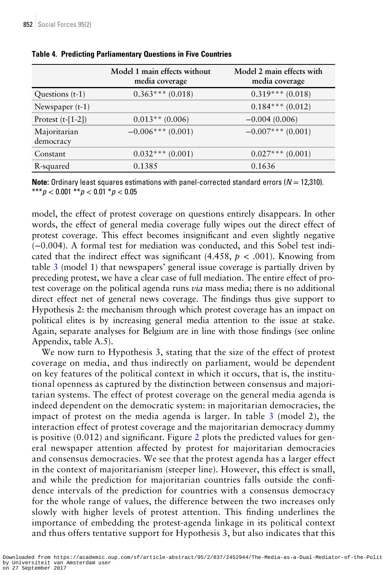|                           | Model 1 main effects without<br>media coverage | Model 2 main effects with<br>media coverage |
|---------------------------|------------------------------------------------|---------------------------------------------|
| Questions (t-1)           | $0.363$ *** (0.018)                            | $0.319***(0.018)$                           |
| Newspaper $(t-1)$         |                                                | $0.184***(0.012)$                           |
| Protest $(t-[1-2])$       | $0.013**$ (0.006)                              | $-0.004(0.006)$                             |
| Majoritarian<br>democracy | $-0.006***(0.001)$                             | $-0.007***$ (0.001)                         |
| Constant                  | $0.032$ *** $(0.001)$                          | $0.027$ *** $(0.001)$                       |
| R-squared                 | 0.1385                                         | 0.1636                                      |

#### <span id="page-16-0"></span>Table 4. Predicting Parliamentary Questions in Five Countries

**Note:** Ordinary least squares estimations with panel-corrected standard errors ( $N = 12,310$ ). \*\*\*p < 0.001 \*\*p < 0.01 \*p < 0.05

model, the effect of protest coverage on questions entirely disappears. In other words, the effect of general media coverage fully wipes out the direct effect of protest coverage. This effect becomes insignificant and even slightly negative (−0.004). A formal test for mediation was conducted, and this Sobel test indicated that the indirect effect was significant (4.458,  $p < .001$ ). Knowing from table [3](#page-15-0) (model 1) that newspapers' general issue coverage is partially driven by preceding protest, we have a clear case of full mediation. The entire effect of protest coverage on the political agenda runs *via* mass media; there is no additional direct effect net of general news coverage. The findings thus give support to Hypothesis 2: the mechanism through which protest coverage has an impact on political elites is by increasing general media attention to the issue at stake. Again, separate analyses for Belgium are in line with those findings (see [online](http://SOCFOR.oxfordjournals.org/lookup/suppl/doi:10.1093/sf/sow075/-/DC1) [Appendix, table A.5\)](http://SOCFOR.oxfordjournals.org/lookup/suppl/doi:10.1093/sf/sow075/-/DC1).

We now turn to Hypothesis 3, stating that the size of the effect of protest coverage on media, and thus indirectly on parliament, would be dependent on key features of the political context in which it occurs, that is, the institutional openness as captured by the distinction between consensus and majoritarian systems. The effect of protest coverage on the general media agenda is indeed dependent on the democratic system: in majoritarian democracies, the impact of protest on the media agenda is larger. In table [3](#page-15-0) (model 2), the interaction effect of protest coverage and the majoritarian democracy dummy is positive (0.012) and significant. Figure [2](#page-17-0) plots the predicted values for general newspaper attention affected by protest for majoritarian democracies and consensus democracies. We see that the protest agenda has a larger effect in the context of majoritarianism (steeper line). However, this effect is small, and while the prediction for majoritarian countries falls outside the confidence intervals of the prediction for countries with a consensus democracy for the whole range of values, the difference between the two increases only slowly with higher levels of protest attention. This finding underlines the importance of embedding the protest-agenda linkage in its political context and thus offers tentative support for Hypothesis 3, but also indicates that this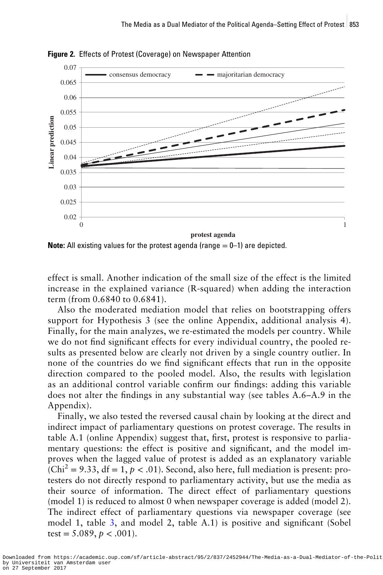

<span id="page-17-0"></span>Figure 2. Effects of Protest (Coverage) on Newspaper Attention

**Note:** All existing values for the protest agenda (range  $= 0-1$ ) are depicted.

effect is small. Another indication of the small size of the effect is the limited increase in the explained variance (R-squared) when adding the interaction term (from 0.6840 to 0.6841).

Also the moderated mediation model that relies on bootstrapping offers support for Hypothesis 3 (see the [online Appendix, additional analysis 4\)](http://SOCFOR.oxfordjournals.org/lookup/suppl/doi:10.1093/sf/sow075/-/DC1). Finally, for the main analyzes, we re-estimated the models per country. While we do not find significant effects for every individual country, the pooled results as presented below are clearly not driven by a single country outlier. In none of the countries do we find significant effects that run in the opposite direction compared to the pooled model. Also, the results with legislation as an additional control variable confirm our findings: adding this variable does not alter the findings in any substantial way (see [tables A.6](http://SOCFOR.oxfordjournals.org/lookup/suppl/doi:10.1093/sf/sow075/-/DC1)–A.9 in the [Appendix](http://SOCFOR.oxfordjournals.org/lookup/suppl/doi:10.1093/sf/sow075/-/DC1)).

Finally, we also tested the reversed causal chain by looking at the direct and indirect impact of parliamentary questions on protest coverage. The results in [table A.1](http://SOCFOR.oxfordjournals.org/lookup/suppl/doi:10.1093/sf/sow075/-/DC1) (online Appendix) suggest that, first, protest is responsive to parliamentary questions: the effect is positive and significant, and the model improves when the lagged value of protest is added as an explanatory variable  $(Chi<sup>2</sup> = 9.33, df = 1, p < .01)$ . Second, also here, full mediation is present: protesters do not directly respond to parliamentary activity, but use the media as their source of information. The direct effect of parliamentary questions (model 1) is reduced to almost 0 when newspaper coverage is added (model 2). The indirect effect of parliamentary questions via newspaper coverage (see model 1, table [3](#page-15-0), and model 2, [table A.1\)](http://SOCFOR.oxfordjournals.org/lookup/suppl/doi:10.1093/sf/sow075/-/DC1) is positive and significant (Sobel test =  $5.089$ ,  $p < .001$ ).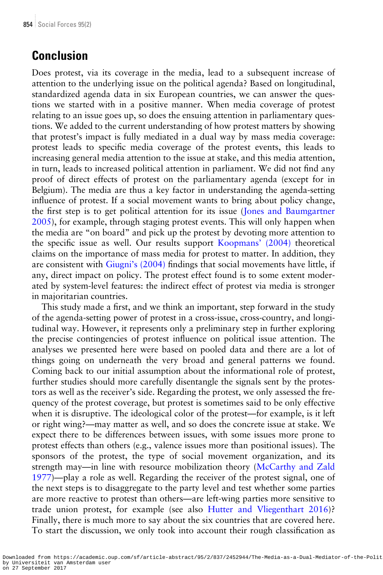### Conclusion

Does protest, via its coverage in the media, lead to a subsequent increase of attention to the underlying issue on the political agenda? Based on longitudinal, standardized agenda data in six European countries, we can answer the questions we started with in a positive manner. When media coverage of protest relating to an issue goes up, so does the ensuing attention in parliamentary questions. We added to the current understanding of how protest matters by showing that protest's impact is fully mediated in a dual way by mass media coverage: protest leads to specific media coverage of the protest events, this leads to increasing general media attention to the issue at stake, and this media attention, in turn, leads to increased political attention in parliament. We did not find any proof of direct effects of protest on the parliamentary agenda (except for in Belgium). The media are thus a key factor in understanding the agenda-setting influence of protest. If a social movement wants to bring about policy change, the first step is to get political attention for its issue ([Jones and Baumgartner](#page-21-0) [2005\)](#page-21-0), for example, through staging protest events. This will only happen when the media are "on board" and pick up the protest by devoting more attention to the specific issue as well. Our results support [Koopmans](#page-21-0)' (2004) theoretical claims on the importance of mass media for protest to matter. In addition, they are consistent with Giugni'[s \(2004\)](#page-21-0) findings that social movements have little, if any, direct impact on policy. The protest effect found is to some extent moderated by system-level features: the indirect effect of protest via media is stronger in majoritarian countries.

This study made a first, and we think an important, step forward in the study of the agenda-setting power of protest in a cross-issue, cross-country, and longitudinal way. However, it represents only a preliminary step in further exploring the precise contingencies of protest influence on political issue attention. The analyses we presented here were based on pooled data and there are a lot of things going on underneath the very broad and general patterns we found. Coming back to our initial assumption about the informational role of protest, further studies should more carefully disentangle the signals sent by the protestors as well as the receiver's side. Regarding the protest, we only assessed the frequency of the protest coverage, but protest is sometimes said to be only effective when it is disruptive. The ideological color of the protest—for example, is it left or right wing?—may matter as well, and so does the concrete issue at stake. We expect there to be differences between issues, with some issues more prone to protest effects than others (e.g., valence issues more than positional issues). The sponsors of the protest, the type of social movement organization, and its strength may—in line with resource mobilization theory [\(McCarthy and Zald](#page-22-0) [1977\)](#page-22-0)—play a role as well. Regarding the receiver of the protest signal, one of the next steps is to disaggregate to the party level and test whether some parties are more reactive to protest than others—are left-wing parties more sensitive to trade union protest, for example (see also [Hutter and Vliegenthart 2016](#page-21-0))? Finally, there is much more to say about the six countries that are covered here. To start the discussion, we only took into account their rough classification as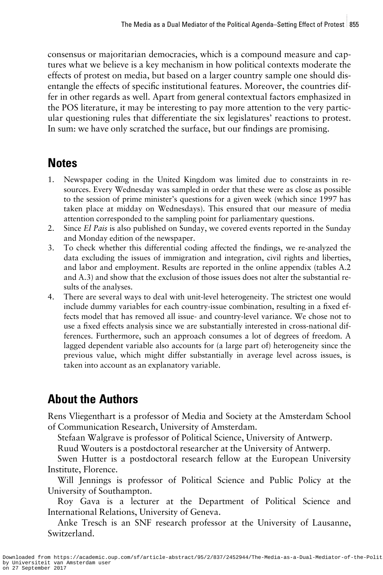consensus or majoritarian democracies, which is a compound measure and captures what we believe is a key mechanism in how political contexts moderate the effects of protest on media, but based on a larger country sample one should disentangle the effects of specific institutional features. Moreover, the countries differ in other regards as well. Apart from general contextual factors emphasized in the POS literature, it may be interesting to pay more attention to the very particular questioning rules that differentiate the six legislatures' reactions to protest. In sum: we have only scratched the surface, but our findings are promising.

#### Notes

- 1. Newspaper coding in the United Kingdom was limited due to constraints in resources. Every Wednesday was sampled in order that these were as close as possible to the session of prime minister's questions for a given week (which since 1997 has taken place at midday on Wednesdays). This ensured that our measure of media attention corresponded to the sampling point for parliamentary questions.
- 2. Since El Pais is also published on Sunday, we covered events reported in the Sunday and Monday edition of the newspaper.
- 3. To check whether this differential coding affected the findings, we re-analyzed the data excluding the issues of immigration and integration, civil rights and liberties, and labor and employment. Results are reported in the online appendix ([tables A.2](http://SOCFOR.oxfordjournals.org/lookup/suppl/doi:10.1093/sf/sow075/-/DC1) [and A.3](http://SOCFOR.oxfordjournals.org/lookup/suppl/doi:10.1093/sf/sow075/-/DC1)) and show that the exclusion of those issues does not alter the substantial results of the analyses.
- 4. There are several ways to deal with unit-level heterogeneity. The strictest one would include dummy variables for each country-issue combination, resulting in a fixed effects model that has removed all issue- and country-level variance. We chose not to use a fixed effects analysis since we are substantially interested in cross-national differences. Furthermore, such an approach consumes a lot of degrees of freedom. A lagged dependent variable also accounts for (a large part of) heterogeneity since the previous value, which might differ substantially in average level across issues, is taken into account as an explanatory variable.

## About the Authors

Rens Vliegenthart is a professor of Media and Society at the Amsterdam School of Communication Research, University of Amsterdam.

Stefaan Walgrave is professor of Political Science, University of Antwerp.

Ruud Wouters is a postdoctoral researcher at the University of Antwerp.

Swen Hutter is a postdoctoral research fellow at the European University Institute, Florence.

Will Jennings is professor of Political Science and Public Policy at the University of Southampton.

Roy Gava is a lecturer at the Department of Political Science and International Relations, University of Geneva.

Anke Tresch is an SNF research professor at the University of Lausanne, Switzerland.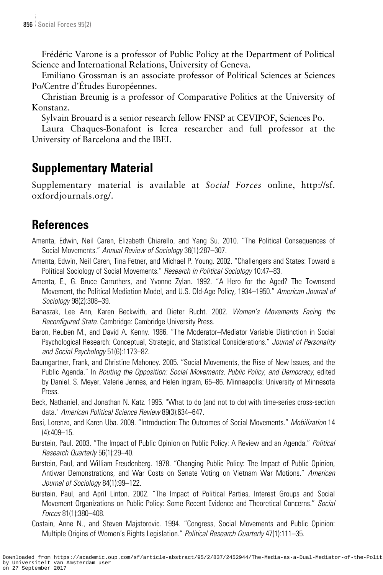<span id="page-20-0"></span>Frédéric Varone is a professor of Public Policy at the Department of Political Science and International Relations, University of Geneva.

Emiliano Grossman is an associate professor of Political Sciences at Sciences Po/Centre d'Études Européennes.

Christian Breunig is a professor of Comparative Politics at the University of Konstanz.

Sylvain Brouard is a senior research fellow FNSP at CEVIPOF, Sciences Po.

Laura Chaques-Bonafont is Icrea researcher and full professor at the University of Barcelona and the IBEI.

### Supplementary Material

[Supplementary material is available at](http://SOCFOR.oxfordjournals.org/lookup/suppl/doi:10.1093/sf/sow075/-/DC1) Social Forces online, http://sf. [oxfordjournals.org/](http://SOCFOR.oxfordjournals.org/lookup/suppl/doi:10.1093/sf/sow075/-/DC1).

### **References**

- Amenta, Edwin, Neil Caren, Elizabeth Chiarello, and Yang Su. 2010. "The Political Consequences of Social Movements." Annual Review of Sociology 36(1):287–307.
- Amenta, Edwin, Neil Caren, Tina Fetner, and Michael P. Young. 2002. "Challengers and States: Toward a Political Sociology of Social Movements." Research in Political Sociology 10:47-83.
- Amenta, E., G. Bruce Carruthers, and Yvonne Zylan. 1992. "A Hero for the Aged? The Townsend Movement, the Political Mediation Model, and U.S. Old-Age Policy, 1934–1950." American Journal of Sociology 98(2):308–39.
- Banaszak, Lee Ann, Karen Beckwith, and Dieter Rucht. 2002. Women's Movements Facing the Reconfigured State. Cambridge: Cambridge University Press.
- Baron, Reuben M., and David A. Kenny. 1986. "The Moderator–Mediator Variable Distinction in Social Psychological Research: Conceptual, Strategic, and Statistical Considerations." Journal of Personality and Social Psychology 51(6):1173–82.
- Baumgartner, Frank, and Christine Mahoney. 2005. "Social Movements, the Rise of New Issues, and the Public Agenda." In Routing the Opposition: Social Movements, Public Policy, and Democracy, edited by Daniel. S. Meyer, Valerie Jennes, and Helen Ingram, 65–86. Minneapolis: University of Minnesota Press.
- Beck, Nathaniel, and Jonathan N. Katz. 1995. "What to do (and not to do) with time-series cross-section data." American Political Science Review 89(3):634–647.
- Bosi, Lorenzo, and Karen Uba. 2009. "Introduction: The Outcomes of Social Movements." Mobilization 14 (4):409–15.
- Burstein, Paul. 2003. "The Impact of Public Opinion on Public Policy: A Review and an Agenda." Political Research Quarterly 56(1):29–40.
- Burstein, Paul, and William Freudenberg. 1978. "Changing Public Policy: The Impact of Public Opinion, Antiwar Demonstrations, and War Costs on Senate Voting on Vietnam War Motions." American Journal of Sociology 84(1):99–122.
- Burstein, Paul, and April Linton. 2002. "The Impact of Political Parties, Interest Groups and Social Movement Organizations on Public Policy: Some Recent Evidence and Theoretical Concerns." Social Forces 81(1):380–408.
- Costain, Anne N., and Steven Majstorovic. 1994. "Congress, Social Movements and Public Opinion: Multiple Origins of Women's Rights Legislation." Political Research Quarterly 47(1):111–35.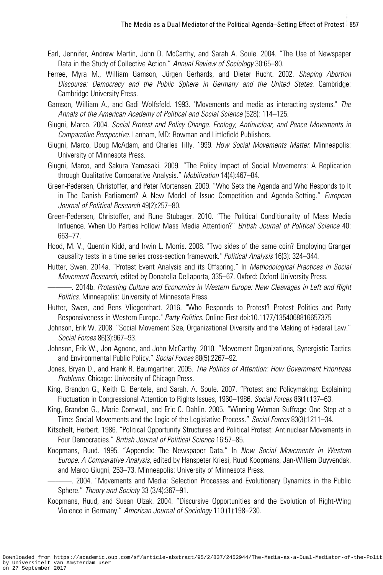- <span id="page-21-0"></span>Earl, Jennifer, Andrew Martin, John D. McCarthy, and Sarah A. Soule. 2004. "The Use of Newspaper Data in the Study of Collective Action." Annual Review of Sociology 30:65–80.
- Ferree, Myra M., William Gamson, Jürgen Gerhards, and Dieter Rucht. 2002. Shaping Abortion Discourse: Democracy and the Public Sphere in Germany and the United States. Cambridge: Cambridge University Press.
- Gamson, William A., and Gadi Wolfsfeld. 1993. "Movements and media as interacting systems." The Annals of the American Academy of Political and Social Science (528): 114–125.
- Giugni, Marco. 2004. Social Protest and Policy Change. Ecology, Antinuclear, and Peace Movements in Comparative Perspective. Lanham, MD: Rowman and Littlefield Publishers.
- Giugni, Marco, Doug McAdam, and Charles Tilly. 1999. How Social Movements Matter. Minneapolis: University of Minnesota Press.
- Giugni, Marco, and Sakura Yamasaki. 2009. "The Policy Impact of Social Movements: A Replication through Qualitative Comparative Analysis." Mobilization 14(4):467–84.
- Green-Pedersen, Christoffer, and Peter Mortensen. 2009. "Who Sets the Agenda and Who Responds to It in The Danish Parliament? A New Model of Issue Competition and Agenda-Setting." European Journal of Political Research 49(2):257–80.
- Green-Pedersen, Christoffer, and Rune Stubager. 2010. "The Political Conditionality of Mass Media Influence. When Do Parties Follow Mass Media Attention?" British Journal of Political Science 40: 663–77.
- Hood, M. V., Quentin Kidd, and Irwin L. Morris. 2008. "Two sides of the same coin? Employing Granger causality tests in a time series cross-section framework." Political Analysis 16(3): 324–344.
- Hutter, Swen. 2014a. "Protest Event Analysis and its Offspring." In Methodological Practices in Social Movement Research, edited by Donatella Dellaporta, 335–67. Oxford: Oxford University Press.
	- -. 2014b. Protesting Culture and Economics in Western Europe: New Cleavages in Left and Right Politics. Minneapolis: University of Minnesota Press.
- Hutter, Swen, and Rens Vliegenthart. 2016. "Who Responds to Protest? Protest Politics and Party Responsiveness in Western Europe." Party Politics. Online First [doi:10.1177/1354068816657375](http://dx.doi.org/10.1177/1354068816657375)
- Johnson, Erik W. 2008. "Social Movement Size, Organizational Diversity and the Making of Federal Law." Social Forces 86(3):967–93.
- Johnson, Erik W., Jon Agnone, and John McCarthy. 2010. "Movement Organizations, Synergistic Tactics and Environmental Public Policy." Social Forces 88(5):2267–92.
- Jones, Bryan D., and Frank R. Baumgartner. 2005. The Politics of Attention: How Government Prioritizes Problems. Chicago: University of Chicago Press.
- King, Brandon G., Keith G. Bentele, and Sarah. A. Soule. 2007. "Protest and Policymaking: Explaining Fluctuation in Congressional Attention to Rights Issues, 1960–1986. Social Forces 86(1):137–63.
- King, Brandon G., Marie Cornwall, and Eric C. Dahlin. 2005. "Winning Woman Suffrage One Step at a Time: Social Movements and the Logic of the Legislative Process." Social Forces 83(3):1211–34.
- Kitschelt, Herbert. 1986. "Political Opportunity Structures and Political Protest: Antinuclear Movements in Four Democracies." British Journal of Political Science 16:57–85.
- Koopmans, Ruud. 1995. "Appendix: The Newspaper Data." In New Social Movements in Western Europe. A Comparative Analysis, edited by Hanspeter Kriesi, Ruud Koopmans, Jan-Willem Duyvendak, and Marco Giugni, 253–73. Minneapolis: University of Minnesota Press.
- ———. 2004. "Movements and Media: Selection Processes and Evolutionary Dynamics in the Public Sphere." Theory and Society 33 (3/4):367–91.
- Koopmans, Ruud, and Susan Olzak. 2004. "Discursive Opportunities and the Evolution of Right-Wing Violence in Germany." American Journal of Sociology 110 (1):198–230.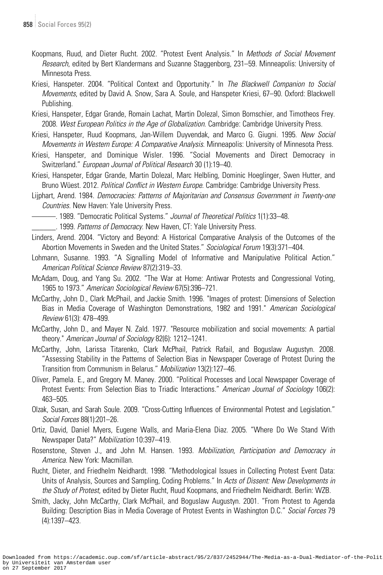- <span id="page-22-0"></span>Koopmans, Ruud, and Dieter Rucht. 2002. "Protest Event Analysis." In Methods of Social Movement Research, edited by Bert Klandermans and Suzanne Staggenborg, 231–59. Minneapolis: University of Minnesota Press.
- Kriesi, Hanspeter. 2004. "Political Context and Opportunity." In The Blackwell Companion to Social Movements, edited by David A. Snow, Sara A. Soule, and Hanspeter Kriesi, 67–90. Oxford: Blackwell Publishing.
- Kriesi, Hanspeter, Edgar Grande, Romain Lachat, Martin Dolezal, Simon Bornschier, and Timotheos Frey. 2008. West European Politics in the Age of Globalization. Cambridge: Cambridge University Press.
- Kriesi, Hanspeter, Ruud Koopmans, Jan-Willem Duyvendak, and Marco G. Giugni. 1995. New Social Movements in Western Europe: A Comparative Analysis. Minneapolis: University of Minnesota Press.
- Kriesi, Hanspeter, and Dominique Wisler. 1996. "Social Movements and Direct Democracy in Switzerland." European Journal of Political Research 30 (1):19–40.
- Kriesi, Hanspeter, Edgar Grande, Martin Dolezal, Marc Helbling, Dominic Hoeglinger, Swen Hutter, and Bruno Wüest. 2012. Political Conflict in Western Europe. Cambridge: Cambridge University Press.
- Lijphart, Arend. 1984. Democracies: Patterns of Majoritarian and Consensus Government in Twenty-one Countries. New Haven: Yale University Press.
	- ———. 1989. "Democratic Political Systems." Journal of Theoretical Politics 1(1):33–48.
	- L. 1999. Patterns of Democracy. New Haven, CT: Yale University Press.
- Linders, Arend. 2004. "Victory and Beyond: A Historical Comparative Analysis of the Outcomes of the Abortion Movements in Sweden and the United States." Sociological Forum 19(3):371-404.
- Lohmann, Susanne. 1993. "A Signalling Model of Informative and Manipulative Political Action." American Political Science Review 87(2):319–33.
- McAdam, Doug, and Yang Su. 2002. "The War at Home: Antiwar Protests and Congressional Voting, 1965 to 1973." American Sociological Review 67(5):396–721.
- McCarthy, John D., Clark McPhail, and Jackie Smith. 1996. "Images of protest: Dimensions of Selection Bias in Media Coverage of Washington Demonstrations, 1982 and 1991." American Sociological Review 61(3): 478–499.
- McCarthy, John D., and Mayer N. Zald. 1977. "Resource mobilization and social movements: A partial theory." American Journal of Sociology 82(6): 1212–1241.
- McCarthy, John, Larissa Titarenko, Clark McPhail, Patrick Rafail, and Boguslaw Augustyn. 2008. "Assessing Stability in the Patterns of Selection Bias in Newspaper Coverage of Protest During the Transition from Communism in Belarus." Mobilization 13(2):127–46.
- Oliver, Pamela. E., and Gregory M. Maney. 2000. "Political Processes and Local Newspaper Coverage of Protest Events: From Selection Bias to Triadic Interactions." American Journal of Sociology 106(2): 463–505.
- Olzak, Susan, and Sarah Soule. 2009. "Cross-Cutting Influences of Environmental Protest and Legislation." Social Forces 88(1):201–26.
- Ortiz, David, Daniel Myers, Eugene Walls, and Maria-Elena Diaz. 2005. "Where Do We Stand With Newspaper Data?" Mobilization 10:397–419.
- Rosenstone, Steven J., and John M. Hansen. 1993. Mobilization, Participation and Democracy in America. New York: Macmillan.
- Rucht, Dieter, and Friedhelm Neidhardt. 1998. "Methodological Issues in Collecting Protest Event Data: Units of Analysis, Sources and Sampling, Coding Problems." In Acts of Dissent: New Developments in the Study of Protest, edited by Dieter Rucht, Ruud Koopmans, and Friedhelm Neidhardt. Berlin: WZB.
- Smith, Jacky, John McCarthy, Clark McPhail, and Boguslaw Augustyn. 2001. "From Protest to Agenda Building: Description Bias in Media Coverage of Protest Events in Washington D.C." Social Forces 79 (4):1397–423.